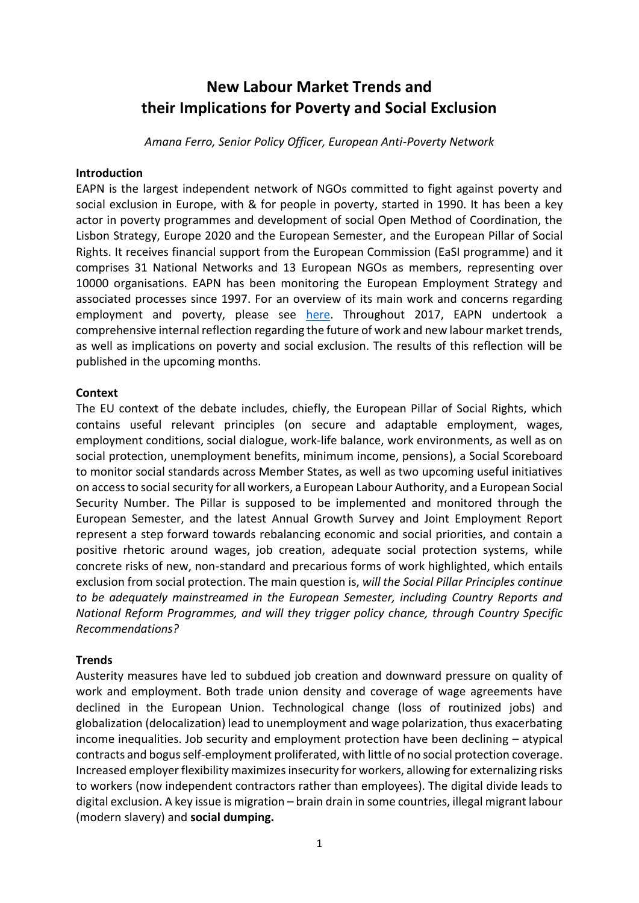# **New Labour Market Trends and their Implications for Poverty and Social Exclusion**

*Amana Ferro, Senior Policy Officer, European Anti-Poverty Network*

#### **Introduction**

EAPN is the largest independent network of NGOs committed to fight against poverty and social exclusion in Europe, with & for people in poverty, started in 1990. It has been a key actor in poverty programmes and development of social Open Method of Coordination, the Lisbon Strategy, Europe 2020 and the European Semester, and the European Pillar of Social Rights. It receives financial support from the European Commission (EaSI programme) and it comprises 31 National Networks and 13 European NGOs as members, representing over 10000 organisations. EAPN has been monitoring the European Employment Strategy and associated processes since 1997. For an overview of its main work and concerns regarding employment and poverty, please see [here.](https://www.eapn.eu/what-we-do/policy-areas-we-focus-on/employment-poverty-social-exclusion/) Throughout 2017, EAPN undertook a comprehensive internal reflection regarding the future of work and new labour market trends, as well as implications on poverty and social exclusion. The results of this reflection will be published in the upcoming months.

### **Context**

The EU context of the debate includes, chiefly, the European Pillar of Social Rights, which contains useful relevant principles (on secure and adaptable employment, wages, employment conditions, social dialogue, work-life balance, work environments, as well as on social protection, unemployment benefits, minimum income, pensions), a Social Scoreboard to monitor social standards across Member States, as well as two upcoming useful initiatives on access to social security for all workers, a European Labour Authority, and a European Social Security Number. The Pillar is supposed to be implemented and monitored through the European Semester, and the latest Annual Growth Survey and Joint Employment Report represent a step forward towards rebalancing economic and social priorities, and contain a positive rhetoric around wages, job creation, adequate social protection systems, while concrete risks of new, non-standard and precarious forms of work highlighted, which entails exclusion from social protection. The main question is, *will the Social Pillar Principles continue to be adequately mainstreamed in the European Semester, including Country Reports and National Reform Programmes, and will they trigger policy chance, through Country Specific Recommendations?* 

### **Trends**

Austerity measures have led to subdued job creation and downward pressure on quality of work and employment. Both trade union density and coverage of wage agreements have declined in the European Union. Technological change (loss of routinized jobs) and globalization (delocalization) lead to unemployment and wage polarization, thus exacerbating income inequalities. Job security and employment protection have been declining – atypical contracts and bogus self-employment proliferated, with little of no social protection coverage. Increased employer flexibility maximizes insecurity for workers, allowing for externalizing risks to workers (now independent contractors rather than employees). The digital divide leads to digital exclusion. A key issue is migration – brain drain in some countries, illegal migrant labour (modern slavery) and **social dumping.**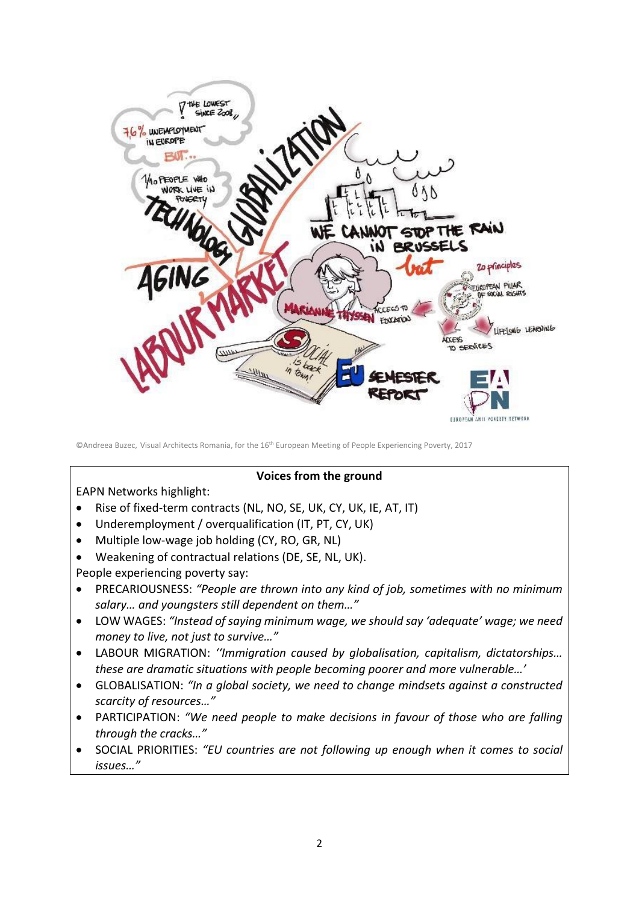

©Andreea Buzec, Visual Architects Romania, for the 16th European Meeting of People Experiencing Poverty, 2017

### **Voices from the ground**

EAPN Networks highlight:

- Rise of fixed-term contracts (NL, NO, SE, UK, CY, UK, IE, AT, IT)
- Underemployment / overqualification (IT, PT, CY, UK)
- Multiple low-wage job holding (CY, RO, GR, NL)
- Weakening of contractual relations (DE, SE, NL, UK).

People experiencing poverty say:

- PRECARIOUSNESS: *"People are thrown into any kind of job, sometimes with no minimum salary… and youngsters still dependent on them…"*
- LOW WAGES: *"Instead of saying minimum wage, we should say 'adequate' wage; we need money to live, not just to survive…"*
- LABOUR MIGRATION: *''Immigration caused by globalisation, capitalism, dictatorships… these are dramatic situations with people becoming poorer and more vulnerable…'*
- GLOBALISATION: *"In a global society, we need to change mindsets against a constructed scarcity of resources…"*
- PARTICIPATION: *"We need people to make decisions in favour of those who are falling through the cracks…"*
- SOCIAL PRIORITIES: *"EU countries are not following up enough when it comes to social issues…"*